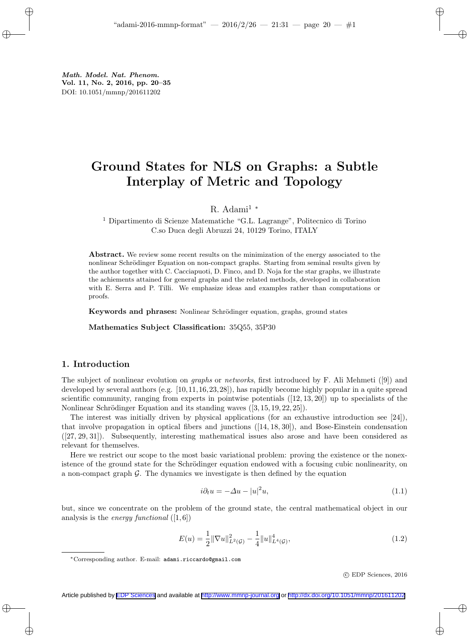Math. Model. Nat. Phenom. Vol. 11, No. 2, 2016, pp. 20–35 DOI: 10.1051/mmnp/201611202

# Ground States for NLS on Graphs: a Subtle Interplay of Metric and Topology

R. Adami<sup>1</sup> <sup>∗</sup>

 $^{\rm 1}$  Dipartimento di Scienze Matematiche "G.L. Lagrange", Politecnico di Torino C.so Duca degli Abruzzi 24, 10129 Torino, ITALY

Abstract. We review some recent results on the minimization of the energy associated to the nonlinear Schrödinger Equation on non-compact graphs. Starting from seminal results given by the author together with C. Cacciapuoti, D. Finco, and D. Noja for the star graphs, we illustrate the achiements attained for general graphs and the related methods, developed in collaboration with E. Serra and P. Tilli. We emphasize ideas and examples rather than computations or proofs.

Keywords and phrases: Nonlinear Schrödinger equation, graphs, ground states

Mathematics Subject Classification: 35Q55, 35P30

## 1. Introduction

The subject of nonlinear evolution on graphs or networks, first introduced by F. Ali Mehmeti ([9]) and developed by several authors (e.g. [10,11,16,23,28]), has rapidly become highly popular in a quite spread scientific community, ranging from experts in pointwise potentials  $([12, 13, 20])$  up to specialists of the Nonlinear Schrödinger Equation and its standing waves  $([3, 15, 19, 22, 25])$ .

The interest was initially driven by physical applications (for an exhaustive introduction see [24]), that involve propagation in optical fibers and junctions ([14, 18, 30]), and Bose-Einstein condensation ([27, 29, 31]). Subsequently, interesting mathematical issues also arose and have been considered as relevant for themselves.

Here we restrict our scope to the most basic variational problem: proving the existence or the nonexistence of the ground state for the Schrödinger equation endowed with a focusing cubic nonlinearity, on a non-compact graph  $\mathcal{G}$ . The dynamics we investigate is then defined by the equation

$$
i\partial_t u = -\Delta u - |u|^2 u,\tag{1.1}
$$

but, since we concentrate on the problem of the ground state, the central mathematical object in our analysis is the *energy functional*  $([1, 6])$ 

$$
E(u) = \frac{1}{2} \|\nabla u\|_{L^2(\mathcal{G})}^2 - \frac{1}{4} \|u\|_{L^4(\mathcal{G})}^4,
$$
\n(1.2)

c EDP Sciences, 2016

<sup>∗</sup>Corresponding author. E-mail: adami.riccardo@gmail.com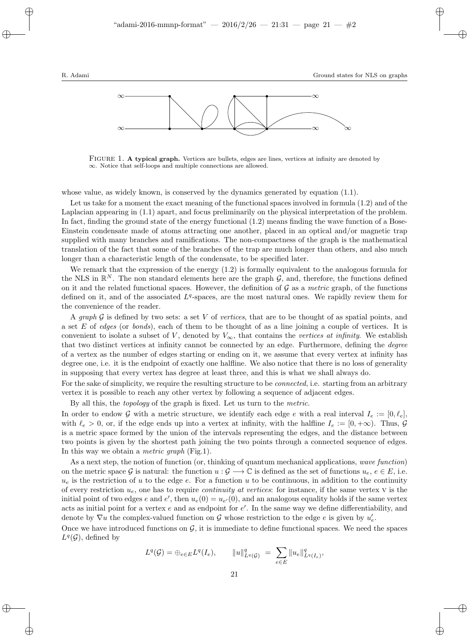

FIGURE 1. A typical graph. Vertices are bullets, edges are lines, vertices at infinity are denoted by ∞. Notice that self-loops and multiple connections are allowed.

whose value, as widely known, is conserved by the dynamics generated by equation (1.1).

Let us take for a moment the exact meaning of the functional spaces involved in formula (1.2) and of the Laplacian appearing in (1.1) apart, and focus preliminarily on the physical interpretation of the problem. In fact, finding the ground state of the energy functional (1.2) means finding the wave function of a Bose-Einstein condensate made of atoms attracting one another, placed in an optical and/or magnetic trap supplied with many branches and ramifications. The non-compactness of the graph is the mathematical translation of the fact that some of the branches of the trap are much longer than others, and also much longer than a characteristic length of the condensate, to be specified later.

We remark that the expression of the energy (1.2) is formally equivalent to the analogous formula for the NLS in  $\mathbb{R}^N$ . The non standard elements here are the graph  $\mathcal{G}$ , and, therefore, the functions defined on it and the related functional spaces. However, the definition of  $\mathcal G$  as a metric graph, of the functions defined on it, and of the associated  $L<sup>q</sup>$ -spaces, are the most natural ones. We rapidly review them for the convenience of the reader.

A graph  $\mathcal G$  is defined by two sets: a set V of vertices, that are to be thought of as spatial points, and a set  $E$  of *edges* (or *bonds*), each of them to be thought of as a line joining a couple of vertices. It is convenient to isolate a subset of V, denoted by  $V_{\infty}$ , that contains the vertices at infinity. We establish that two distinct vertices at infinity cannot be connected by an edge. Furthermore, defining the degree of a vertex as the number of edges starting or ending on it, we assume that every vertex at infinity has degree one, i.e. it is the endpoint of exactly one halfline. We also notice that there is no loss of generality in supposing that every vertex has degree at least three, and this is what we shall always do.

For the sake of simplicity, we require the resulting structure to be *connected*, i.e. starting from an arbitrary vertex it is possible to reach any other vertex by following a sequence of adjacent edges.

By all this, the topology of the graph is fixed. Let us turn to the metric.

In order to endow G with a metric structure, we identify each edge e with a real interval  $I_e := [0, \ell_e]$ , with  $\ell_e > 0$ , or, if the edge ends up into a vertex at infinity, with the halfline  $I_e := [0, +\infty)$ . Thus,  $\mathcal G$ is a metric space formed by the union of the intervals representing the edges, and the distance between two points is given by the shortest path joining the two points through a connected sequence of edges. In this way we obtain a *metric graph* (Fig.1).

As a next step, the notion of function (or, thinking of quantum mechanical applications, wave function) on the metric space G is natural: the function  $u : \mathcal{G} \longrightarrow \mathbb{C}$  is defined as the set of functions  $u_{\epsilon}, \epsilon \in E$ , i.e.  $u_e$  is the restriction of u to the edge e. For a function u to be continuous, in addition to the continuity of every restriction  $u_e$ , one has to require *continuity at vertices*: for instance, if the same vertex  $V$  is the initial point of two edges e and e', then  $u_e(0) = u_{e'}(0)$ , and an analogous equality holds if the same vertex acts as initial point for a vertex  $e$  and as endpoint for  $e'$ . In the same way we define differentiability, and denote by  $\nabla u$  the complex-valued function on  $\mathcal G$  whose restriction to the edge  $e$  is given by  $u'_e$ .

Once we have introduced functions on  $G$ , it is immediate to define functional spaces. We need the spaces  $L^q(\mathcal{G})$ , defined by

$$
L^{q}(\mathcal{G}) = \bigoplus_{e \in E} L^{q}(I_e), \qquad ||u||_{L^{q}(\mathcal{G})}^{q} = \sum_{e \in E} ||u_e||_{L^{q}(I_e)}^{q},
$$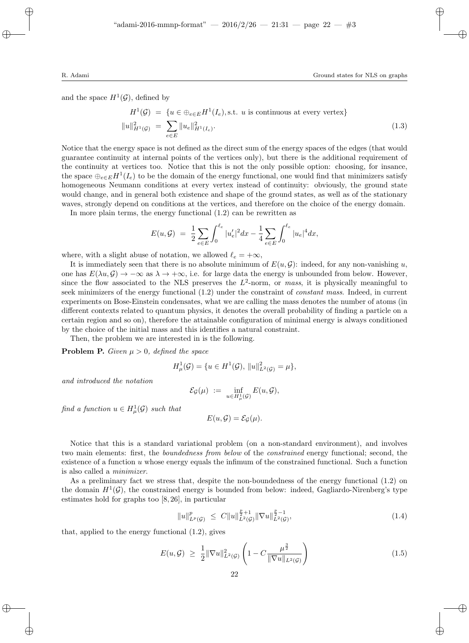and the space  $H^1(\mathcal{G})$ , defined by

$$
H^{1}(\mathcal{G}) = \{ u \in \bigoplus_{e \in E} H^{1}(I_{e}), \text{s.t. } u \text{ is continuous at every vertex} \}
$$

$$
||u||_{H^{1}(\mathcal{G})}^{2} = \sum_{e \in E} ||u_{e}||_{H^{1}(I_{e})}^{2}.
$$
(1.3)

Notice that the energy space is not defined as the direct sum of the energy spaces of the edges (that would guarantee continuity at internal points of the vertices only), but there is the additional requirement of the continuity at vertices too. Notice that this is not the only possible option: choosing, for insance, the space  $\bigoplus_{e\in E} H^1(I_e)$  to be the domain of the energy functional, one would find that minimizers satisfy homogeneous Neumann conditions at every vertex instead of continuity: obviously, the ground state would change, and in general both existence and shape of the ground states, as well as of the stationary waves, strongly depend on conditions at the vertices, and therefore on the choice of the energy domain.

In more plain terms, the energy functional (1.2) can be rewritten as

$$
E(u, \mathcal{G}) = \frac{1}{2} \sum_{e \in E} \int_0^{\ell_e} |u'_e|^2 dx - \frac{1}{4} \sum_{e \in E} \int_0^{\ell_e} |u_e|^4 dx,
$$

where, with a slight abuse of notation, we allowed  $\ell_e = +\infty$ ,

It is immediately seen that there is no absolute minimum of  $E(u, \mathcal{G})$ : indeed, for any non-vanishing u, one has  $E(\lambda u, \mathcal{G}) \to -\infty$  as  $\lambda \to +\infty$ , i.e. for large data the energy is unbounded from below. However, since the flow associated to the NLS preserves the  $L^2$ -norm, or mass, it is physically meaningful to seek minimizers of the energy functional (1.2) under the constraint of constant mass. Indeed, in current experiments on Bose-Einstein condensates, what we are calling the mass denotes the number of atoms (in different contexts related to quantum physics, it denotes the overall probability of finding a particle on a certain region and so on), therefore the attainable configuration of minimal energy is always conditioned by the choice of the initial mass and this identifies a natural constraint.

Then, the problem we are interested in is the following.

**Problem P.** Given  $\mu > 0$ , defined the space

$$
H^1_{\mu}(\mathcal{G}) = \{ u \in H^1(\mathcal{G}), ||u||^2_{L^2(\mathcal{G})} = \mu \},
$$

and introduced the notation

$$
\mathcal{E}_{\mathcal{G}}(\mu) \ := \ \inf_{u \in H^1_\mu(\mathcal{G})} E(u,\mathcal{G}),
$$

find a function  $u \in H^1_\mu(\mathcal{G})$  such that

$$
E(u,\mathcal{G})=\mathcal{E}_{\mathcal{G}}(\mu).
$$

Notice that this is a standard variational problem (on a non-standard environment), and involves two main elements: first, the *boundedness from below* of the *constrained* energy functional; second, the existence of a function u whose energy equals the infimum of the constrained functional. Such a function is also called a minimizer.

As a preliminary fact we stress that, despite the non-boundedness of the energy functional (1.2) on the domain  $H^1(\mathcal{G})$ , the constrained energy is bounded from below: indeed, Gagliardo-Nirenberg's type estimates hold for graphs too [8, 26], in particular

$$
||u||_{L^{p}(\mathcal{G})}^{p} \leq C||u||_{L^{2}(\mathcal{G})}^{\frac{p}{2}+1}||\nabla u||_{L^{2}(\mathcal{G})}^{\frac{p}{2}-1}, \qquad (1.4)
$$

that, applied to the energy functional (1.2), gives

$$
E(u, \mathcal{G}) \ge \frac{1}{2} \|\nabla u\|_{L^2(\mathcal{G})}^2 \left(1 - C \frac{\mu^{\frac{3}{2}}}{\|\nabla u\|_{L^2(\mathcal{G})}}\right) \tag{1.5}
$$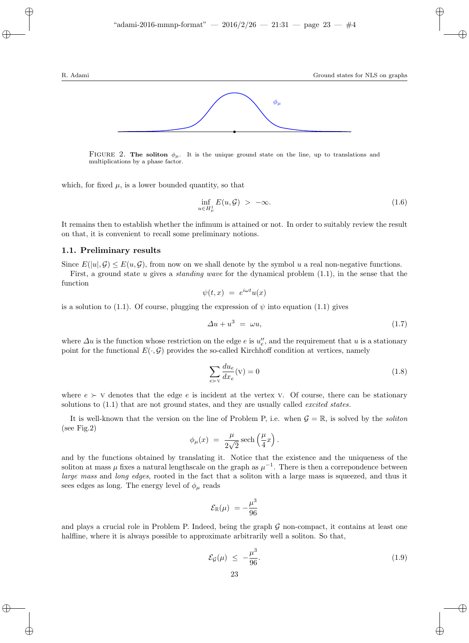

FIGURE 2. The soliton  $\phi_{\mu}$ . It is the unique ground state on the line, up to translations and multiplications by a phase factor.

which, for fixed  $\mu$ , is a lower bounded quantity, so that

$$
\inf_{u \in H^1_\mu} E(u, \mathcal{G}) > -\infty. \tag{1.6}
$$

It remains then to establish whether the infimum is attained or not. In order to suitably review the result on that, it is convenient to recall some preliminary notions.

#### 1.1. Preliminary results

Since  $E(|u|, \mathcal{G}) \leq E(u, \mathcal{G})$ , from now on we shall denote by the symbol u a real non-negative functions. First, a ground state u gives a *standing wave* for the dynamical problem  $(1.1)$ , in the sense that the function

$$
\psi(t,x) = e^{i\omega t}u(x)
$$

is a solution to (1.1). Of course, plugging the expression of  $\psi$  into equation (1.1) gives

$$
\Delta u + u^3 = \omega u, \tag{1.7}
$$

where  $\Delta u$  is the function whose restriction on the edge e is  $u''_e$ , and the requirement that u is a stationary point for the functional  $E(\cdot, \mathcal{G})$  provides the so-called Kirchhoff condition at vertices, namely

$$
\sum_{e \succ v} \frac{du_e}{dx_e}(\mathbf{v}) = 0 \tag{1.8}
$$

where  $e > v$  denotes that the edge e is incident at the vertex v. Of course, there can be stationary solutions to  $(1.1)$  that are not ground states, and they are usually called *excited states*.

It is well-known that the version on the line of Problem P, i.e. when  $\mathcal{G} = \mathbb{R}$ , is solved by the soliton (see Fig.2)

$$
\phi_{\mu}(x) = \frac{\mu}{2\sqrt{2}} \operatorname{sech}\left(\frac{\mu}{4}x\right).
$$

and by the functions obtained by translating it. Notice that the existence and the uniqueness of the soliton at mass  $\mu$  fixes a natural lengthscale on the graph as  $\mu^{-1}$ . There is then a correpondence between large mass and long edges, rooted in the fact that a soliton with a large mass is squeezed, and thus it sees edges as long. The energy level of  $\phi_{\mu}$  reads

$$
\mathcal{E}_{\mathbb{R}}(\mu) = -\frac{\mu^3}{96}
$$

and plays a crucial role in Problem P. Indeed, being the graph  $G$  non-compact, it contains at least one halfline, where it is always possible to approximate arbitrarily well a soliton. So that,

$$
\mathcal{E}_{\mathcal{G}}(\mu) \le -\frac{\mu^3}{96}.\tag{1.9}
$$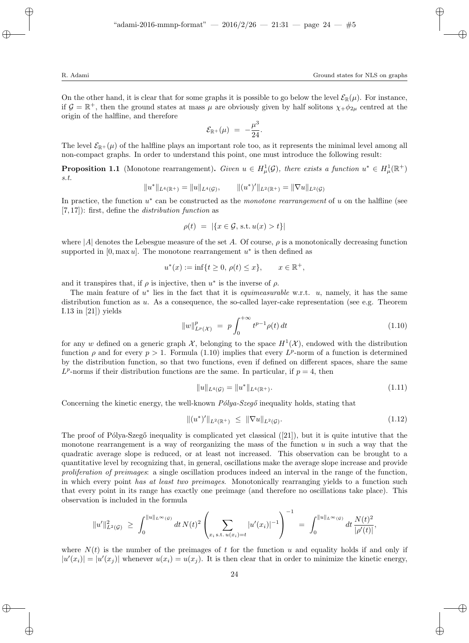On the other hand, it is clear that for some graphs it is possible to go below the level  $\mathcal{E}_{\mathbb{R}}(\mu)$ . For instance, if  $\mathcal{G} = \mathbb{R}^+$ , then the ground states at mass  $\mu$  are obviously given by half solitons  $\chi_+ \phi_{2\mu}$  centred at the origin of the halfline, and therefore

$$
\mathcal{E}_{\mathbb{R}^+}(\mu) = -\frac{\mu^3}{24}.
$$

The level  $\mathcal{E}_{\mathbb{R}^+}(\mu)$  of the halfline plays an important role too, as it represents the minimal level among all non-compact graphs. In order to understand this point, one must introduce the following result:

**Proposition 1.1** (Monotone rearrangement). Given  $u \in H^1_\mu(\mathcal{G})$ , there exists a function  $u^* \in H^1_\mu(\mathbb{R}^+)$ s.t.

$$
||u^*||_{L^4(\mathbb{R}^+)} = ||u||_{L^4(\mathcal{G})}, \qquad ||(u^*)'||_{L^2(\mathbb{R}^+)} = ||\nabla u||_{L^2(\mathcal{G})}
$$

In practice, the function  $u^*$  can be constructed as the *monotone rearrangement* of u on the halfline (see  $[7, 17]$ : first, define the *distribution function* as

$$
\rho(t) = |\{x \in \mathcal{G}, \text{ s.t. } u(x) > t\}|
$$

where  $|A|$  denotes the Lebesgue measure of the set A. Of course,  $\rho$  is a monotonically decreasing function supported in  $[0, \max u]$ . The monotone rearrangement  $u^*$  is then defined as

$$
u^*(x) := \inf\{t \ge 0, \, \rho(t) \le x\}, \qquad x \in \mathbb{R}^+,
$$

and it transpires that, if  $\rho$  is injective, then  $u^*$  is the inverse of  $\rho$ .

The main feature of  $u^*$  lies in the fact that it is *equimeasurable* w.r.t. u, namely, it has the same distribution function as u. As a consequence, the so-called layer-cake representation (see e.g. Theorem I.13 in [21]) yields

$$
||w||_{L^{p}(\mathcal{X})}^{p} = p \int_{0}^{+\infty} t^{p-1} \rho(t) dt
$$
\n(1.10)

for any w defined on a generic graph  $\mathcal{X}$ , belonging to the space  $H^1(\mathcal{X})$ , endowed with the distribution function  $\rho$  and for every  $p > 1$ . Formula (1.10) implies that every  $L^p$ -norm of a function is determined by the distribution function, so that two functions, even if defined on different spaces, share the same  $L^p$ -norms if their distribution functions are the same. In particular, if  $p=4$ , then

$$
||u||_{L^{4}(\mathcal{G})} = ||u^{*}||_{L^{4}(\mathbb{R}^{+})}.
$$
\n(1.11)

Concerning the kinetic energy, the well-known  $P\'{o}lva-Szeq\'{o}$  inequality holds, stating that

$$
\|(u^*)'\|_{L^2(\mathbb{R}^+)} \le \|\nabla u\|_{L^2(\mathcal{G})}.\tag{1.12}
$$

The proof of Pólya-Szegő inequality is complicated yet classical  $([21])$ , but it is quite intutive that the monotone rearrangement is a way of reorganizing the mass of the function  $u$  in such a way that the quadratic average slope is reduced, or at least not increased. This observation can be brought to a quantitative level by recognizing that, in general, oscillations make the average slope increase and provide proliferation of preimages: a single oscillation produces indeed an interval in the range of the function, in which every point has at least two preimages. Monotonically rearranging yields to a function such that every point in its range has exactly one preimage (and therefore no oscillations take place). This observation is included in the formula

$$
||u'||_{L^2(\mathcal{G})}^2 \geq \int_0^{||u||_{L^{\infty}(\mathcal{G})}} dt \, N(t)^2 \left( \sum_{x_i \text{ s.t. } u(x_i) = t} |u'(x_i)|^{-1} \right)^{-1} = \int_0^{||u||_{L^{\infty}(\mathcal{G})}} dt \, \frac{N(t)^2}{|\rho'(t)|},
$$

where  $N(t)$  is the number of the preimages of t for the function u and equality holds if and only if  $|u'(x_i)| = |u'(x_j)|$  whenever  $u(x_i) = u(x_j)$ . It is then clear that in order to minimize the kinetic energy,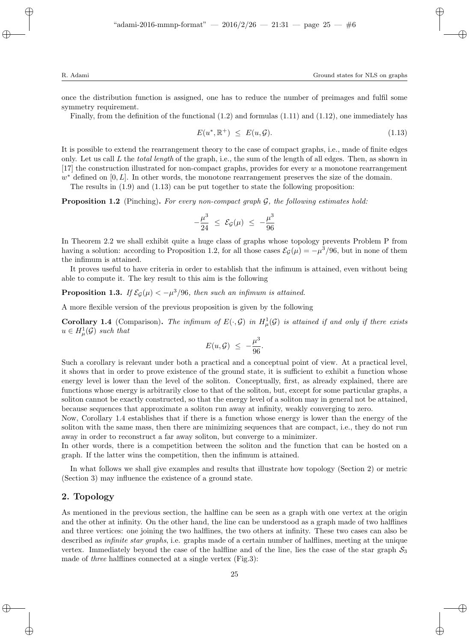once the distribution function is assigned, one has to reduce the number of preimages and fulfil some symmetry requirement.

Finally, from the definition of the functional  $(1.2)$  and formulas  $(1.11)$  and  $(1.12)$ , one immediately has

$$
E(u^*, \mathbb{R}^+) \le E(u, \mathcal{G}). \tag{1.13}
$$

It is possible to extend the rearrangement theory to the case of compact graphs, i.e., made of finite edges only. Let us call L the *total length* of the graph, i.e., the sum of the length of all edges. Then, as shown in [17] the construction illustrated for non-compact graphs, provides for every  $w$  a monotone rearrangement  $w^*$  defined on  $[0, L]$ . In other words, the monotone rearrangement preserves the size of the domain.

The results in  $(1.9)$  and  $(1.13)$  can be put together to state the following proposition:

**Proposition 1.2** (Pinching). For every non-compact graph  $G$ , the following estimates hold:

$$
-\frac{\mu^3}{24} \leq \mathcal{E}_{\mathcal{G}}(\mu) \leq -\frac{\mu^3}{96}
$$

In Theorem 2.2 we shall exhibit quite a huge class of graphs whose topology prevents Problem P from having a solution: according to Proposition 1.2, for all those cases  $\mathcal{E}_{\mathcal{G}}(\mu) = -\mu^3/96$ , but in none of them the infimum is attained.

It proves useful to have criteria in order to establish that the infimum is attained, even without being able to compute it. The key result to this aim is the following

**Proposition 1.3.** If  $\mathcal{E}_{\mathcal{G}}(\mu) < -\mu^3/96$ , then such an infimum is attained.

A more flexible version of the previous proposition is given by the following

**Corollary 1.4** (Comparison). The infimum of  $E(\cdot, \mathcal{G})$  in  $H^1_\mu(\mathcal{G})$  is attained if and only if there exists  $u \in H^1_\mu(\mathcal{G})$  such that

$$
E(u,\mathcal{G}) \ \leq \ -\frac{\mu^3}{96}.
$$

Such a corollary is relevant under both a practical and a conceptual point of view. At a practical level, it shows that in order to prove existence of the ground state, it is sufficient to exhibit a function whose energy level is lower than the level of the soliton. Conceptually, first, as already explained, there are functions whose energy is arbitrarily close to that of the soliton, but, except for some particular graphs, a soliton cannot be exactly constructed, so that the energy level of a soliton may in general not be attained, because sequences that approximate a soliton run away at infinity, weakly converging to zero.

Now, Corollary 1.4 establishes that if there is a function whose energy is lower than the energy of the soliton with the same mass, then there are minimizing sequences that are compact, i.e., they do not run away in order to reconstruct a far away soliton, but converge to a minimizer.

In other words, there is a competition between the soliton and the function that can be hosted on a graph. If the latter wins the competition, then the infimum is attained.

In what follows we shall give examples and results that illustrate how topology (Section 2) or metric (Section 3) may influence the existence of a ground state.

### 2. Topology

As mentioned in the previous section, the halfline can be seen as a graph with one vertex at the origin and the other at infinity. On the other hand, the line can be understood as a graph made of two halflines and three vertices: one joining the two halflines, the two others at infinity. These two cases can also be described as *infinite star graphs*, i.e. graphs made of a certain number of halflines, meeting at the unique vertex. Immediately beyond the case of the halfline and of the line, lies the case of the star graph  $S_3$ made of *three* halflines connected at a single vertex (Fig.3):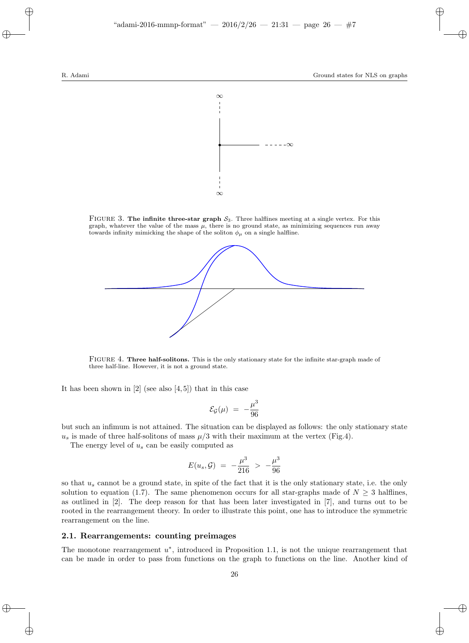

FIGURE 3. The infinite three-star graph  $S_3$ . Three halflines meeting at a single vertex. For this graph, whatever the value of the mass  $\mu$ , there is no ground state, as minimizing sequences run away towards infinity mimicking the shape of the soliton  $\phi_{\mu}$  on a single halfline.



FIGURE 4. Three half-solitons. This is the only stationary state for the infinite star-graph made of three half-line. However, it is not a ground state.

It has been shown in  $[2]$  (see also  $[4,5]$ ) that in this case

$$
\mathcal{E}_{\mathcal{G}}(\mu) = -\frac{\mu^3}{96}
$$

but such an infimum is not attained. The situation can be displayed as follows: the only stationary state  $u_s$  is made of three half-solitons of mass  $\mu/3$  with their maximum at the vertex (Fig.4).

The energy level of  $u_s$  can be easily computed as

$$
E(u_s, \mathcal{G}) = -\frac{\mu^3}{216} > -\frac{\mu^3}{96}
$$

so that  $u_s$  cannot be a ground state, in spite of the fact that it is the only stationary state, i.e. the only solution to equation (1.7). The same phenomenon occurs for all star-graphs made of  $N \geq 3$  halflines, as outlined in [2]. The deep reason for that has been later investigated in [7], and turns out to be rooted in the rearrangement theory. In order to illustrate this point, one has to introduce the symmetric rearrangement on the line.

#### 2.1. Rearrangements: counting preimages

The monotone rearrangement  $u^*$ , introduced in Proposition 1.1, is not the unique rearrangement that can be made in order to pass from functions on the graph to functions on the line. Another kind of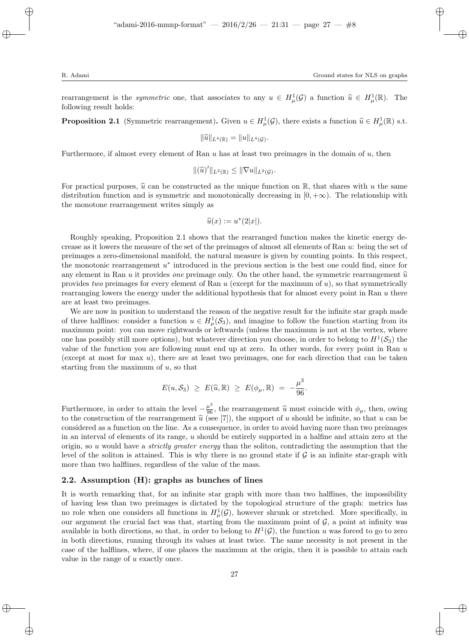rearrangement is the *symmetric* one, that associates to any  $u \in H^1_\mu(\mathcal{G})$  a function  $\widehat{u} \in H^1_\mu(\mathbb{R})$ . The following result holds. following result holds:

**Proposition 2.1** (Symmetric rearrangement). Given  $u \in H^1_\mu(\mathcal{G})$ , there exists a function  $\widehat{u} \in H^1_\mu(\mathbb{R})$  s.t.

$$
\|\widehat{u}\|_{L^4(\mathbb{R})}=\|u\|_{L^4(\mathcal{G})}.
$$

Furthermore, if almost every element of Ran  $u$  has at least two preimages in the domain of  $u$ , then

$$
\|(\widehat{u})'\|_{L^2(\mathbb{R})}\leq \|\nabla u\|_{L^2(\mathcal{G})}.
$$

For practical purposes,  $\hat{u}$  can be constructed as the unique function on R, that shares with u the same distribution function and is symmetric and monotonically decreasing in  $[0, +\infty)$ . The relationship with the monotone rearrangement writes simply as

$$
\widehat{u}(x) := u^*(2|x|).
$$

Roughly speaking, Proposition 2.1 shows that the rearranged function makes the kinetic energy decrease as it lowers the measure of the set of the preimages of almost all elements of Ran u: being the set of preimages a zero-dimensional manifold, the natural measure is given by counting points. In this respect, the monotonic rearrangement  $u^*$  introduced in the previous section is the best one could find, since for any element in Ran u it provides *one* preimage only. On the other hand, the symmetric rearrangement  $\hat{u}$ provides two preimages for every element of Ran  $u$  (except for the maximum of  $u$ ), so that symmetrically rearranging lowers the energy under the additional hypothesis that for almost every point in Ran  $u$  there are at least two preimages.

We are now in position to understand the reason of the negative result for the infinite star graph made of three halflines: consider a function  $u \in H^1_\mu(\mathcal{S}_3)$ , and imagine to follow the function starting from its maximum point: you can move rightwards or leftwards (unless the maximum is not at the vertex, where one has possibly still more options), but whatever direction you choose, in order to belong to  $H^1(\mathcal{S}_3)$  the value of the function you are following must end up at zero. In other words, for every point in Ran  $u$ (except at most for max  $u$ ), there are at least two preimages, one for each direction that can be taken starting from the maximum of  $u$ , so that

$$
E(u,\mathcal{S}_3) \geq E(\widehat{u},\mathbb{R}) \geq E(\phi_{\mu},\mathbb{R}) = -\frac{\mu^3}{96}.
$$

Furthermore, in order to attain the level  $-\frac{\mu^3}{96}$ , the rearrangement  $\hat{u}$  must coincide with  $\phi_\mu$ , then, owing to the construction of the rearrangement  $\hat{u}$  (see [7]), the support of u should be infinite, so that u can be considered as a function on the line. As a consequence in order to small begins more than two proincipals considered as a function on the line. As a consequence, in order to avoid having more than two preimages in an interval of elements of its range, u should be entirely supported in a halfine and attain zero at the origin, so u would have a *strictly greater energy* than the soliton, contradicting the assumption that the level of the soliton is attained. This is why there is no ground state if  $\mathcal G$  is an infinite star-graph with more than two halflines, regardless of the value of the mass.

#### 2.2. Assumption (H): graphs as bunches of lines

It is worth remarking that, for an infinite star graph with more than two halflines, the impossibility of having less than two preimages is dictated by the topological structure of the graph: metrics has no role when one considers all functions in  $H^1_\mu(\mathcal{G})$ , however shrunk or stretched. More specifically, in our argument the crucial fact was that, starting from the maximum point of  $G$ , a point at infinity was available in both directions, so that, in order to belong to  $H^1(\mathcal{G})$ , the function u was forced to go to zero in both directions, running through its values at least twice. The same necessity is not present in the case of the halflines, where, if one places the maximum at the origin, then it is possible to attain each value in the range of u exactly once.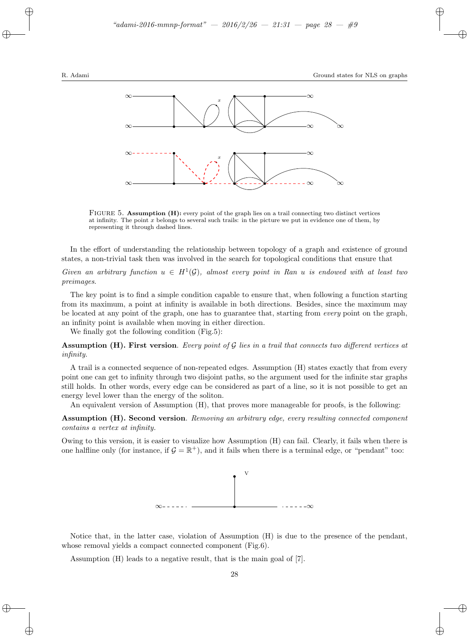

FIGURE 5. Assumption (H): every point of the graph lies on a trail connecting two distinct vertices at infinity. The point  $x$  belongs to several such trails: in the picture we put in evidence one of them, by representing it through dashed lines.

In the effort of understanding the relationship between topology of a graph and existence of ground states, a non-trivial task then was involved in the search for topological conditions that ensure that

Given an arbitrary function  $u \in H^1(\mathcal{G})$ , almost every point in Ran u is endowed with at least two preimages.

The key point is to find a simple condition capable to ensure that, when following a function starting from its maximum, a point at infinity is available in both directions. Besides, since the maximum may be located at any point of the graph, one has to guarantee that, starting from every point on the graph, an infinity point is available when moving in either direction.

We finally got the following condition (Fig.5):

**Assumption (H). First version**. Every point of  $\mathcal G$  lies in a trail that connects two different vertices at infinity.

A trail is a connected sequence of non-repeated edges. Assumption (H) states exactly that from every point one can get to infinity through two disjoint paths, so the argument used for the infinite star graphs still holds. In other words, every edge can be considered as part of a line, so it is not possible to get an energy level lower than the energy of the soliton.

An equivalent version of Assumption (H), that proves more manageable for proofs, is the following:

Assumption (H). Second version. Removing an arbitrary edge, every resulting connected component contains a vertex at infinity.

Owing to this version, it is easier to visualize how Assumption (H) can fail. Clearly, it fails when there is one halfline only (for instance, if  $G = \mathbb{R}^+$ ), and it fails when there is a terminal edge, or "pendant" too:



Notice that, in the latter case, violation of Assumption (H) is due to the presence of the pendant, whose removal yields a compact connected component (Fig.6).

Assumption (H) leads to a negative result, that is the main goal of [7].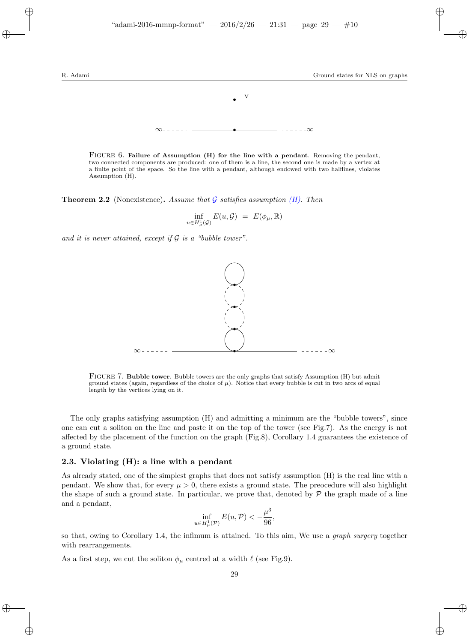

FIGURE 6. Failure of Assumption (H) for the line with a pendant. Removing the pendant, two connected components are produced: one of them is a line, the second one is made by a vertex at a finite point of the space. So the line with a pendant, although endowed with two halflines, violates Assumption (H).

**Theorem 2.2** (Nonexistence). Assume that  $\mathcal{G}$  satisfies assumption (*H*). Then

$$
\inf_{u\in H^1_\mu(\mathcal{G})} E(u,\mathcal{G}) \ = \ E(\phi_\mu,\mathbb{R})
$$

and it is never attained, except if  $\mathcal G$  is a "bubble tower".



FIGURE 7. Bubble tower. Bubble towers are the only graphs that satisfy Assumption (H) but admit ground states (again, regardless of the choice of  $\mu$ ). Notice that every bubble is cut in two arcs of equal length by the vertices lying on it.

The only graphs satisfying assumption (H) and admitting a minimum are the "bubble towers", since one can cut a soliton on the line and paste it on the top of the tower (see Fig.7). As the energy is not affected by the placement of the function on the graph (Fig.8), Corollary 1.4 guarantees the existence of a ground state.

#### 2.3. Violating (H): a line with a pendant

As already stated, one of the simplest graphs that does not satisfy assumption (H) is the real line with a pendant. We show that, for every  $\mu > 0$ , there exists a ground state. The preocedure will also highlight the shape of such a ground state. In particular, we prove that, denoted by  $\mathcal P$  the graph made of a line and a pendant,

$$
\inf_{u \in H^1_{\mu}(\mathcal{P})} E(u, \mathcal{P}) < -\frac{\mu^3}{96},
$$

so that, owing to Corollary 1.4, the infimum is attained. To this aim, We use a graph surgery together with rearrangements.

As a first step, we cut the soliton  $\phi_{\mu}$  centred at a width  $\ell$  (see Fig.9).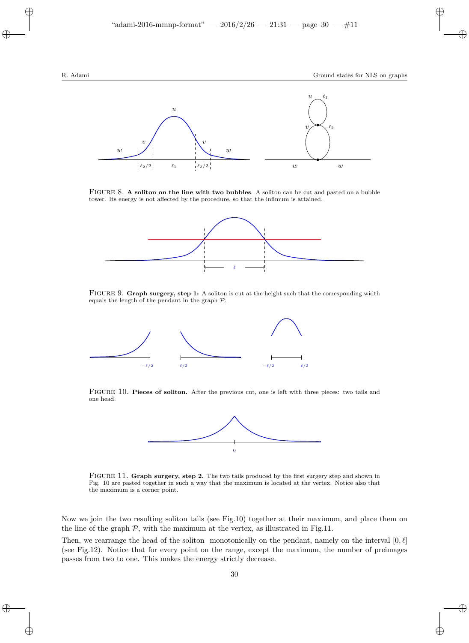

FIGURE 8. A soliton on the line with two bubbles. A soliton can be cut and pasted on a bubble tower. Its energy is not affected by the procedure, so that the infimum is attained.



FIGURE 9. Graph surgery, step 1: A soliton is cut at the height such that the corresponding width equals the length of the pendant in the graph P.



FIGURE 10. Pieces of soliton. After the previous cut, one is left with three pieces: two tails and one head.



FIGURE 11. Graph surgery, step 2. The two tails produced by the first surgery step and shown in Fig. 10 are pasted together in such a way that the maximum is located at the vertex. Notice also that the maximum is a corner point.

Now we join the two resulting soliton tails (see Fig.10) together at their maximum, and place them on the line of the graph  $P$ , with the maximum at the vertex, as illustrated in Fig.11.

Then, we rearrange the head of the soliton monotonically on the pendant, namely on the interval  $[0, \ell]$ (see Fig.12). Notice that for every point on the range, except the maximum, the number of preimages passes from two to one. This makes the energy strictly decrease.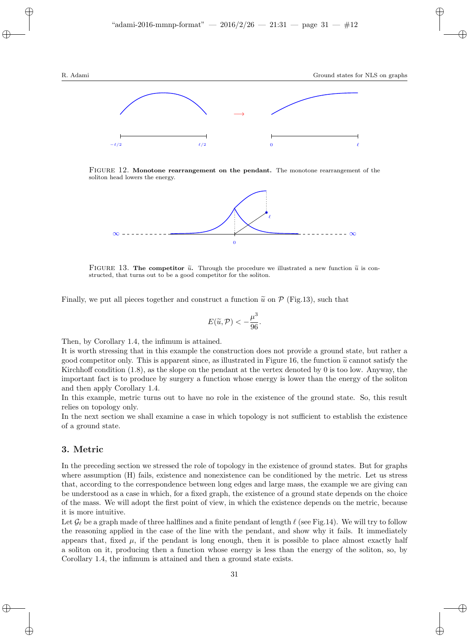

FIGURE 12. Monotone rearrangement on the pendant. The monotone rearrangement of the soliton head lowers the energy.



FIGURE 13. The competitor  $\tilde{u}$ . Through the procedure we illustrated a new function  $\tilde{u}$  is constructed, that turns out to be a good competitor for the soliton.

Finally, we put all pieces together and construct a function  $\tilde{u}$  on P (Fig.13), such that

$$
E(\widetilde{u}, \mathcal{P}) < -\frac{\mu^3}{96}.
$$

Then, by Corollary 1.4, the infimum is attained.

It is worth stressing that in this example the construction does not provide a ground state, but rather a good competitor only. This is apparent since, as illustrated in Figure 16, the function  $\tilde{u}$  cannot satisfy the Kirchhoff condition  $(1.8)$ , as the slope on the pendant at the vertex denoted by 0 is too low. Anyway, the important fact is to produce by surgery a function whose energy is lower than the energy of the soliton and then apply Corollary 1.4.

In this example, metric turns out to have no role in the existence of the ground state. So, this result relies on topology only.

In the next section we shall examine a case in which topology is not sufficient to establish the existence of a ground state.

## 3. Metric

In the preceding section we stressed the role of topology in the existence of ground states. But for graphs where assumption (H) fails, existence and nonexistence can be conditioned by the metric. Let us stress that, according to the correspondence between long edges and large mass, the example we are giving can be understood as a case in which, for a fixed graph, the existence of a ground state depends on the choice of the mass. We will adopt the first point of view, in which the existence depends on the metric, because it is more intuitive.

Let  $\mathcal{G}_{\ell}$  be a graph made of three halflines and a finite pendant of length  $\ell$  (see Fig.14). We will try to follow the reasoning applied in the case of the line with the pendant, and show why it fails. It immediately appears that, fixed  $\mu$ , if the pendant is long enough, then it is possible to place almost exactly half a soliton on it, producing then a function whose energy is less than the energy of the soliton, so, by Corollary 1.4, the infimum is attained and then a ground state exists.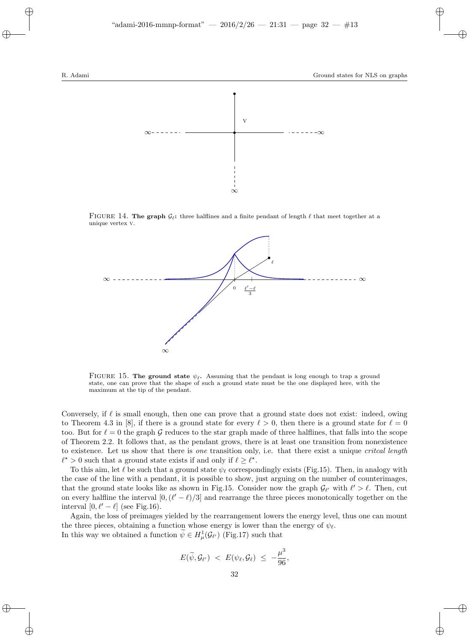

FIGURE 14. The graph  $\mathcal{G}_{\ell}$ : three halflines and a finite pendant of length  $\ell$  that meet together at a unique vertex v.



FIGURE 15. The ground state  $\psi_{\ell}$ . Assuming that the pendant is long enough to trap a ground state, one can prove that the shape of such a ground state must be the one displayed here, with the maximum at the tip of the pendant.

Conversely, if  $\ell$  is small enough, then one can prove that a ground state does not exist: indeed, owing to Theorem 4.3 in [8], if there is a ground state for every  $\ell > 0$ , then there is a ground state for  $\ell = 0$ too. But for  $\ell = 0$  the graph G reduces to the star graph made of three halflines, that falls into the scope of Theorem 2.2. It follows that, as the pendant grows, there is at least one transition from nonexistence to existence. Let us show that there is one transition only, i.e. that there exist a unique *critcal length*  $\ell^* > 0$  such that a ground state exists if and only if  $\ell \geq \ell^*$ .

To this aim, let  $\ell$  be such that a ground state  $\psi_{\ell}$  correspondingly exists (Fig.15). Then, in analogy with the case of the line with a pendant, it is possible to show, just arguing on the number of counterimages, that the ground state looks like as shown in Fig.15. Consider now the graph  $\mathcal{G}_{\ell'}$  with  $\ell' > \ell$ . Then, cut on every halfline the interval  $[0,(\ell'-\ell)/3]$  and rearrange the three pieces monotonically together on the interval  $[0, \ell' - \ell]$  (see Fig.16).

Again, the loss of preimages yielded by the rearrangement lowers the energy level, thus one can mount the three pieces, obtaining a function whose energy is lower than the energy of  $\psi_{\ell}$ . In this way we obtained a function  $\psi \in H^1_\mu(\mathcal{G}_{\ell'})$  (Fig.17) such that

$$
E(\widetilde{\psi}, \mathcal{G}_{\ell'}) \ < \ E(\psi_{\ell}, \mathcal{G}_{\ell}) \ \leq \ -\frac{\mu^3}{96},
$$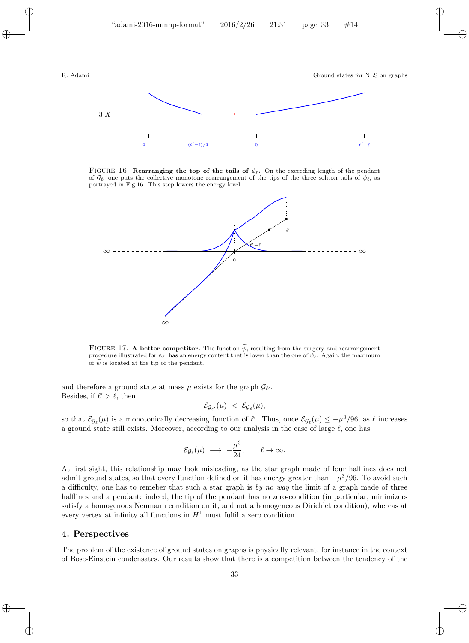

FIGURE 16. Rearranging the top of the tails of  $\psi_{\ell}$ . On the exceeding length of the pendant of  $\mathcal{G}_{\ell'}$  one puts the collective monotone rearrangement of the tips of the three soliton tails of  $\psi_{\ell}$ , as portrayed in Fig.16. This step lowers the energy level.



FIGURE 17. A better competitor. The function  $\tilde{\psi}$ , resulting from the surgery and rearrangement procedure illustrated for  $\psi_{\ell}$ , has an energy content that is lower than the one of  $\psi_{\ell}$ . Again, the maximum of  $\psi$  is located at the tip of the pendant.

and therefore a ground state at mass  $\mu$  exists for the graph  $\mathcal{G}_{\ell'}$ . Besides, if  $\ell' > \ell$ , then

$$
\mathcal{E}_{\mathcal{G}_{\ell'}}(\mu) \ < \ \mathcal{E}_{\mathcal{G}_{\ell}}(\mu),
$$

so that  $\mathcal{E}_{\mathcal{G}_{\ell}}(\mu)$  is a monotonically decreasing function of  $\ell'$ . Thus, once  $\mathcal{E}_{\mathcal{G}_{\ell}}(\mu) \leq -\mu^3/96$ , as  $\ell$  increases a ground state still exists. Moreover, according to our analysis in the case of large  $\ell$ , one has

$$
\mathcal{E}_{\mathcal{G}_{\ell}}(\mu) \longrightarrow -\frac{\mu^3}{24}, \qquad \ell \to \infty.
$$

At first sight, this relationship may look misleading, as the star graph made of four halflines does not admit ground states, so that every function defined on it has energy greater than  $-\mu^3/96$ . To avoid such a difficulty, one has to remeber that such a star graph is by no way the limit of a graph made of three halflines and a pendant: indeed, the tip of the pendant has no zero-condition (in particular, minimizers satisfy a homogenous Neumann condition on it, and not a homogeneous Dirichlet condition), whereas at every vertex at infinity all functions in  $H<sup>1</sup>$  must fulfil a zero condition.

## 4. Perspectives

The problem of the existence of ground states on graphs is physically relevant, for instance in the context of Bose-Einstein condensates. Our results show that there is a competition between the tendency of the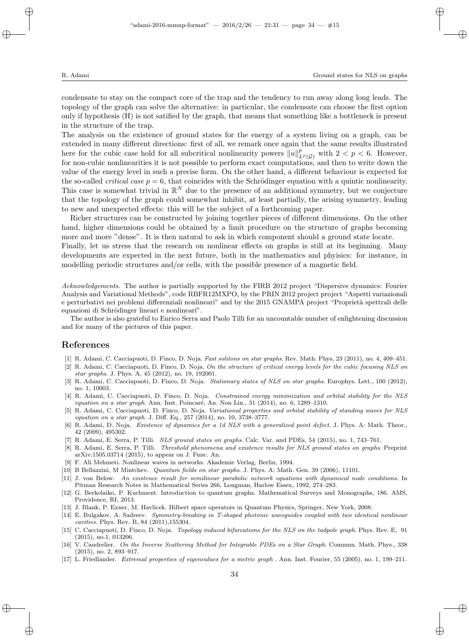condensate to stay on the compact core of the trap and the tendency to run away along long leads. The topology of the graph can solve the alternative: in particular, the condensate can choose the first option only if hypothesis (H) is not satified by the graph, that means that something like a bottleneck is present in the structure of the trap.

The analysis on the existence of ground states for the energy of a system living on a graph, can be extended in many different directions: first of all, we remark once again that the same results illustrated here for the cubic case hold for all subcritical nonlinearity powers  $||u||_{L^p(G)}^p$  with  $2 < p < 6$ . However, for non-cubic nonlinearities it is not possible to perform exact computations, and then to write down the value of the energy level in such a precise form. On the other hand, a different behaviour is expected for the so-called *critical case*  $p = 6$ , that coincides with the Schrödinger equation with a quintic nonlinearity. This case is somewhat trivial in  $\mathbb{R}^N$  due to the presence of an additional symmetry, but we conjecture that the topology of the graph could somewhat inhibit, at least partially, the arising symmetry, leading to new and unexpected effects: this will be the subject of a forthcoming paper.

Richer structures can be constructed by joining together pieces of different dimensions. On the other hand, higher dimensions could be obtained by a limit procedure on the structure of graphs becoming more and more "dense". It is then natural to ask in which component should a ground state locate.

Finally, let us stress that the research on nonlinear effects on graphs is still at its beginning. Many developments are expected in the next future, both in the mathematics and phyisics: for instance, in modelling periodic structures and/or cells, with the possible presence of a magnetic field.

Acknowledgements. The author is partially supported by the FIRB 2012 project "Dispersive dynamics: Fourier Analysis and Variational Methods", code RBFR12MXPO, by the PRIN 2012 project project "Aspetti variazionali e perturbativi nei problemi differenziali nonlineari" and by the 2015 GNAMPA project "Proprietà spettrali delle equazioni di Schrödinger lineari e nonlineari".

The author is also grateful to Enrico Serra and Paolo Tilli for an uncountable number of enlightening discussion and for many of the pictures of this paper.

## References

- [1] R. Adami, C. Cacciapuoti, D. Finco, D. Noja. Fast solitons on star graphs. Rev. Math. Phys, 23 (2011), no. 4, 409–451.
- [2] R. Adami, C. Cacciapuoti, D. Finco, D. Noja. On the structure of critical energy levels for the cubic focusing NLS on star graphs. J. Phys. A, 45 (2012), no. 19, 192001.
- [3] R. Adami, C. Cacciapuoti, D. Finco, D. Noja. Stationary states of NLS on star graphs. Europhys. Lett., 100 (2012), no. 1, 10003.
- [4] R. Adami, C. Cacciapuoti, D. Finco, D. Noja. Constrained energy minimization and orbital stability for the NLS equation on a star graph. Ann. Inst. Poincaré, An. Non Lin., 31 (2014), no. 6, 1289–1310.
- [5] R. Adami, C. Cacciapuoti, D. Finco, D. Noja. Variational properties and orbital stability of standing waves for NLS equation on a star graph. J. Diff. Eq., 257 (2014), no. 10, 3738–3777.
- [6] R. Adami, D. Noja. Existence of dynamics for a 1d NLS with a generalized point defect. J. Phys. A: Math. Theor., 42 (2009), 495302.
- [7] R. Adami, E. Serra, P. Tilli. NLS ground states on graphs. Calc. Var. and PDEs, 54 (2015), no. 1, 743–761.
- [8] R. Adami, E. Serra, P. Tilli. Threshold phenomena and existence results for NLS ground states on graphs. Preprint arXiv:1505.03714 (2015), to appear on J. Func. An.
- [9] F. Ali Mehmeti. Nonlinear waves in networks. Akademie Verlag, Berlin, 1994.
- [10] B Bellazzini, M Mintchev. Quantum fields on star graphs. J. Phys. A: Math. Gen. 39 (2006), 11101.
- [11] J. von Below. An existence result for semilinear parabolic network equations with dynamical node conditions. In Pitman Research Notes in Mathematical Series 266, Longman, Harlow Essex, 1992, 274–283.
- [12] G. Berkolaiko, P. Kuchment. Introduction to quantum graphs. Mathematical Surveys and Monographs, 186. AMS, Providence, RI, 2013.
- [13] J. Blank, P. Exner, M. Havlicek. Hilbert space operators in Quantum Physics, Springer, New York, 2008.
- [14] E. Bulgakov, A. Sadreev. Symmetry-breaking in T-shaped photonic waveguides coupled with two identical nonlinear cavities. Phys. Rev. B, 84 (2011),155304.
- [15] C. Cacciapuoti, D. Finco, D. Noja. *Topology induced bifurcations for the NLS on the tadpole graph*. Phys. Rev. E, 91 (2015), no.1, 013206.
- [16] V. Caudrelier. On the Inverse Scattering Method for Integrable PDEs on a Star Graph. Commun. Math. Phys., 338 (2015), no. 2, 893–917.
- [17] L. Friedlander. Extremal properties of eigenvalues for a metric graph . Ann. Inst. Fourier, 55 (2005), no. 1, 199–211.